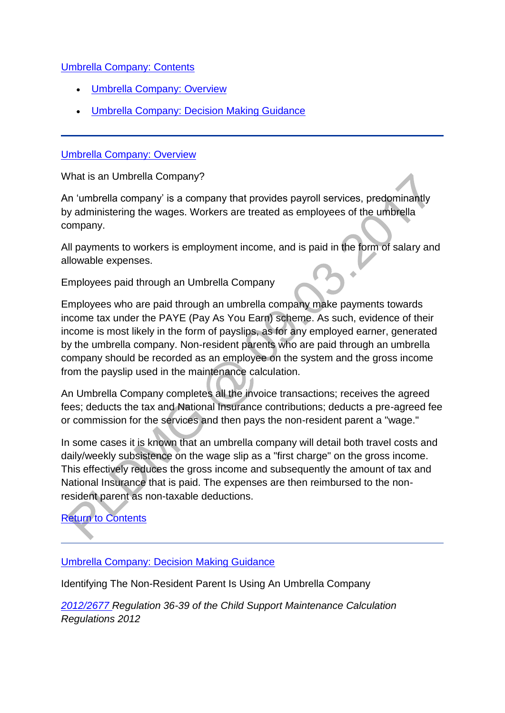### [Umbrella Company: Contents](http://np-cmg-sharepoint.link2.gpn.gov.uk/sites/policy-law-and-decision-making-guidance/Pages)

- [Umbrella Company: Overview](http://np-cmg-sharepoint.link2.gpn.gov.uk/sites/policy-law-and-decision-making-guidance/Pages/Umbrella-Company.aspx#overview)
- [Umbrella Company: Decision Making Guidance](http://np-cmg-sharepoint.link2.gpn.gov.uk/sites/policy-law-and-decision-making-guidance/Pages/Umbrella-Company.aspx#DMG)

#### [Umbrella Company: Overview](http://np-cmg-sharepoint.link2.gpn.gov.uk/sites/policy-law-and-decision-making-guidance/Pages)

What is an Umbrella Company?

An 'umbrella company' is a company that provides payroll services, predominantly by administering the wages. Workers are treated as employees of the umbrella company.

All payments to workers is employment income, and is paid in the form of salary and allowable expenses.

Employees paid through an Umbrella Company

Employees who are paid through an umbrella company make payments towards income tax under the PAYE (Pay As You Earn) scheme. As such, evidence of their income is most likely in the form of payslips, as for any employed earner, generated by the umbrella company. Non-resident parents who are paid through an umbrella company should be recorded as an employee on the system and the gross income from the payslip used in the maintenance calculation.

An Umbrella Company completes all the invoice transactions; receives the agreed fees; deducts the tax and National Insurance contributions; deducts a pre-agreed fee or commission for the services and then pays the non-resident parent a "wage."

In some cases it is known that an umbrella company will detail both travel costs and daily/weekly subsistence on the wage slip as a "first charge" on the gross income. This effectively reduces the gross income and subsequently the amount of tax and National Insurance that is paid. The expenses are then reimbursed to the nonresident parent as non-taxable deductions.

## [Return to Contents](http://np-cmg-sharepoint.link2.gpn.gov.uk/sites/policy-law-and-decision-making-guidance/Pages/Umbrella-Company.aspx#return)

#### [Umbrella Company: Decision Making Guidance](http://np-cmg-sharepoint.link2.gpn.gov.uk/sites/policy-law-and-decision-making-guidance/Pages)

Identifying The Non-Resident Parent Is Using An Umbrella Company

*[2012/2677 R](http://www.legislation.gov.uk/uksi/2012/2677)egulation 36-39 of the Child Support Maintenance Calculation Regulations 2012*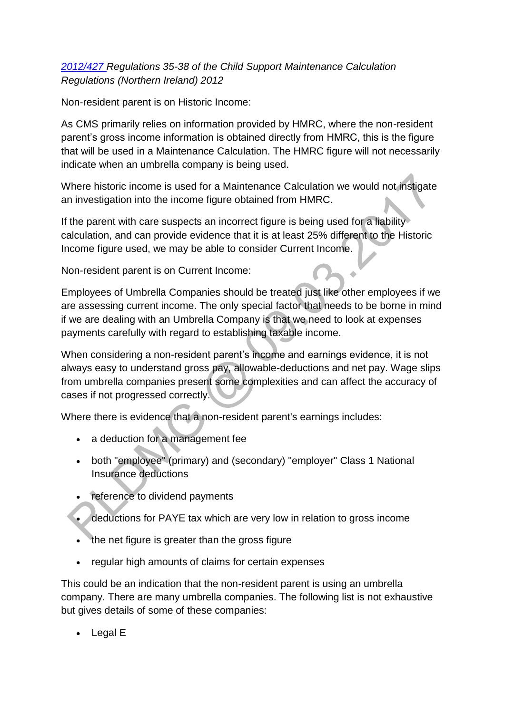## *[2012/427 R](http://www.legislation.gov.uk/nisr/2012/427/contents/made)egulations 35-38 of the Child Support Maintenance Calculation Regulations (Northern Ireland) 2012*

Non-resident parent is on Historic Income:

As CMS primarily relies on information provided by HMRC, where the non-resident parent's gross income information is obtained directly from HMRC, this is the figure that will be used in a Maintenance Calculation. The HMRC figure will not necessarily indicate when an umbrella company is being used.

Where historic income is used for a Maintenance Calculation we would not instigate an investigation into the income figure obtained from HMRC.

If the parent with care suspects an incorrect figure is being used for a liability calculation, and can provide evidence that it is at least 25% different to the Historic Income figure used, we may be able to consider Current Income.

Non-resident parent is on Current Income:

Employees of Umbrella Companies should be treated just like other employees if we are assessing current income. The only special factor that needs to be borne in mind if we are dealing with an Umbrella Company is that we need to look at expenses payments carefully with regard to establishing taxable income.

When considering a non-resident parent's income and earnings evidence, it is not always easy to understand gross pay, allowable-deductions and net pay. Wage slips from umbrella companies present some complexities and can affect the accuracy of cases if not progressed correctly.

Where there is evidence that a non-resident parent's earnings includes:

- a deduction for a management fee
- both "employee" (primary) and (secondary) "employer" Class 1 National Insurance deductions
- reference to dividend payments
- deductions for PAYE tax which are very low in relation to gross income
- the net figure is greater than the gross figure
- regular high amounts of claims for certain expenses

This could be an indication that the non-resident parent is using an umbrella company. There are many umbrella companies. The following list is not exhaustive but gives details of some of these companies:

Legal E